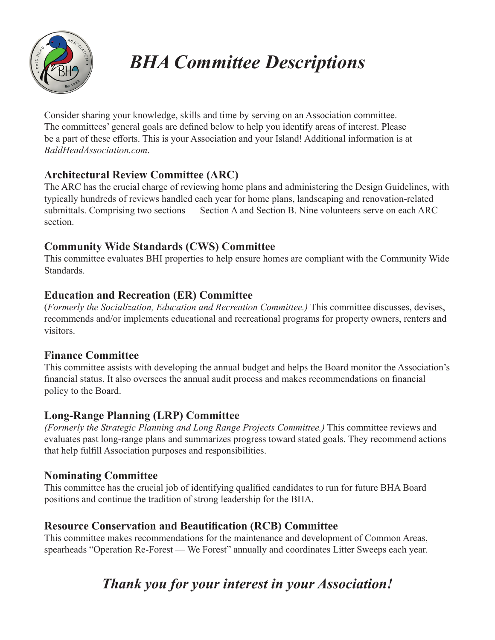

# *BHA Committee Descriptions*

Consider sharing your knowledge, skills and time by serving on an Association committee. The committees' general goals are defined below to help you identify areas of interest. Please be a part of these efforts. This is your Association and your Island! Additional information is at *BaldHeadAssociation.com*.

#### **Architectural Review Committee (ARC)**

The ARC has the crucial charge of reviewing home plans and administering the Design Guidelines, with typically hundreds of reviews handled each year for home plans, landscaping and renovation-related submittals. Comprising two sections — Section A and Section B. Nine volunteers serve on each ARC section.

#### **Community Wide Standards (CWS) Committee**

This committee evaluates BHI properties to help ensure homes are compliant with the Community Wide Standards.

#### **Education and Recreation (ER) Committee**

(*Formerly the Socialization, Education and Recreation Committee.)* This committee discusses, devises, recommends and/or implements educational and recreational programs for property owners, renters and visitors.

#### **Finance Committee**

This committee assists with developing the annual budget and helps the Board monitor the Association's financial status. It also oversees the annual audit process and makes recommendations on financial policy to the Board.

#### **Long-Range Planning (LRP) Committee**

*(Formerly the Strategic Planning and Long Range Projects Committee.)* This committee reviews and evaluates past long-range plans and summarizes progress toward stated goals. They recommend actions that help fulfill Association purposes and responsibilities.

#### **Nominating Committee**

This committee has the crucial job of identifying qualified candidates to run for future BHA Board positions and continue the tradition of strong leadership for the BHA.

#### **Resource Conservation and Beautification (RCB) Committee**

This committee makes recommendations for the maintenance and development of Common Areas, spearheads "Operation Re-Forest — We Forest" annually and coordinates Litter Sweeps each year.

### *Thank you for your interest in your Association!*